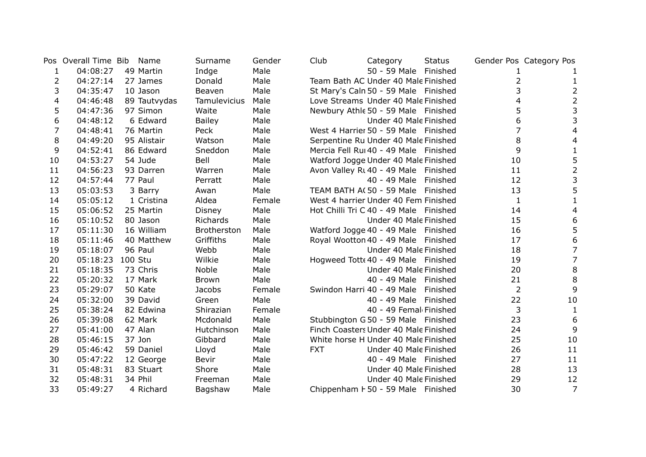|    | Pos Overall Time Bib | Name         | Surname       | Gender | Club       | Category                               | <b>Status</b> |                | Gender Pos Category Pos |
|----|----------------------|--------------|---------------|--------|------------|----------------------------------------|---------------|----------------|-------------------------|
| 1  | 04:08:27             | 49 Martin    | Indge         | Male   |            | 50 - 59 Male Finished                  |               |                |                         |
| 2  | 04:27:14             | 27 James     | Donald        | Male   |            | Team Bath AC Under 40 Male Finished    |               | 2              | 1                       |
| 3  | 04:35:47             | 10 Jason     | Beaven        | Male   |            | St Mary's Caln 50 - 59 Male Finished   |               | 3              | $\overline{c}$          |
| 4  | 04:46:48             | 89 Tautvydas | Tamulevicius  | Male   |            | Love Streams Under 40 Male Finished    |               | 4              | $\overline{2}$          |
| 5  | 04:47:36             | 97 Simon     | Waite         | Male   |            | Newbury Athle 50 - 59 Male Finished    |               | 5              | 3                       |
| 6  | 04:48:12             | 6 Edward     | <b>Bailey</b> | Male   |            | Under 40 Male Finished                 |               | 6              | 3                       |
| 7  | 04:48:41             | 76 Martin    | Peck          | Male   |            | West 4 Harrier 50 - 59 Male Finished   |               | $\overline{7}$ | 4                       |
| 8  | 04:49:20             | 95 Alistair  | Watson        | Male   |            | Serpentine Ru Under 40 Male Finished   |               | 8              | 4                       |
| 9  | 04:52:41             | 86 Edward    | Sneddon       | Male   |            | Mercia Fell Rui 40 - 49 Male Finished  |               | 9              | 1                       |
| 10 | 04:53:27             | 54 Jude      | Bell          | Male   |            | Watford Jogge Under 40 Male Finished   |               | 10             | 5                       |
| 11 | 04:56:23             | 93 Darren    | Warren        | Male   |            | Avon Valley Rt 40 - 49 Male Finished   |               | 11             | $\overline{c}$          |
| 12 | 04:57:44             | 77 Paul      | Perratt       | Male   |            | 40 - 49 Male Finished                  |               | 12             | 3                       |
| 13 | 05:03:53             | 3 Barry      | Awan          | Male   |            | TEAM BATH A(50 - 59 Male Finished      |               | 13             | 5                       |
| 14 | 05:05:12             | 1 Cristina   | Aldea         | Female |            | West 4 harrier Under 40 Fem Finished   |               | $\mathbf{1}$   | 1                       |
| 15 | 05:06:52             | 25 Martin    | Disney        | Male   |            | Hot Chilli Tri C 40 - 49 Male Finished |               | 14             | 4                       |
| 16 | 05:10:52             | 80 Jason     | Richards      | Male   |            | Under 40 Male Finished                 |               | 15             | 6                       |
| 17 | 05:11:30             | 16 William   | Brotherston   | Male   |            | Watford Jogge 40 - 49 Male Finished    |               | 16             | 5                       |
| 18 | 05:11:46             | 40 Matthew   | Griffiths     | Male   |            | Royal Wootton 40 - 49 Male Finished    |               | 17             | 6                       |
| 19 | 05:18:07             | 96 Paul      | Webb          | Male   |            | Under 40 Male Finished                 |               | 18             | 7                       |
| 20 | 05:18:23             | 100 Stu      | Wilkie        | Male   |            | Hogweed Tott 40 - 49 Male Finished     |               | 19             | $\overline{7}$          |
| 21 | 05:18:35             | 73 Chris     | Noble         | Male   |            | Under 40 Male Finished                 |               | 20             | $\bf 8$                 |
| 22 | 05:20:32             | 17 Mark      | Brown         | Male   |            | 40 - 49 Male Finished                  |               | 21             | 8                       |
| 23 | 05:29:07             | 50 Kate      | Jacobs        | Female |            | Swindon Harri 40 - 49 Male Finished    |               | $\overline{2}$ | 9                       |
| 24 | 05:32:00             | 39 David     | Green         | Male   |            | 40 - 49 Male Finished                  |               | 22             | 10                      |
| 25 | 05:38:24             | 82 Edwina    | Shirazian     | Female |            | 40 - 49 Femal Finished                 |               | 3              | 1                       |
| 26 | 05:39:08             | 62 Mark      | Mcdonald      | Male   |            | Stubbington G50 - 59 Male Finished     |               | 23             | 6                       |
| 27 | 05:41:00             | 47 Alan      | Hutchinson    | Male   |            | Finch Coasters Under 40 Male Finished  |               | 24             | 9                       |
| 28 | 05:46:15             | 37 Jon       | Gibbard       | Male   |            | White horse H Under 40 Male Finished   |               | 25             | 10                      |
| 29 | 05:46:42             | 59 Daniel    | Lloyd         | Male   | <b>FXT</b> | Under 40 Male Finished                 |               | 26             | 11                      |
| 30 | 05:47:22             | 12 George    | Bevir         | Male   |            | 40 - 49 Male Finished                  |               | 27             | 11                      |
| 31 | 05:48:31             | 83 Stuart    | Shore         | Male   |            | Under 40 Male Finished                 |               | 28             | 13                      |
| 32 | 05:48:31             | 34 Phil      | Freeman       | Male   |            | Under 40 Male Finished                 |               | 29             | 12                      |
| 33 | 05:49:27             | 4 Richard    | Bagshaw       | Male   |            | Chippenham F 50 - 59 Male Finished     |               | 30             | 7                       |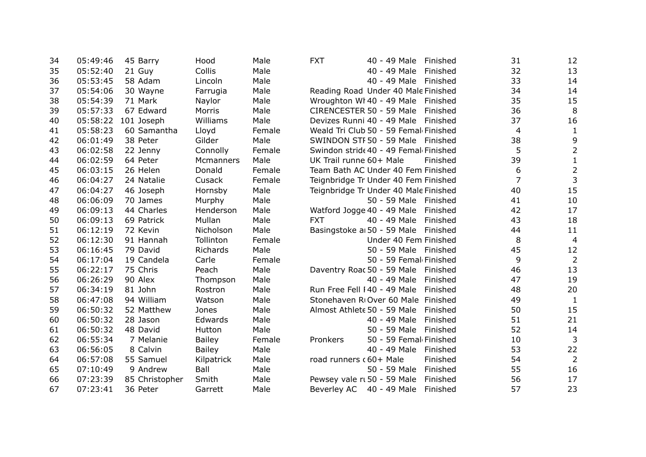| 34 | 05:49:46 | 45 Barry       | Hood          | Male   | <b>FXT</b><br>40 - 49 Male<br>Finished   | 31             | 12             |
|----|----------|----------------|---------------|--------|------------------------------------------|----------------|----------------|
| 35 | 05:52:40 | 21 Guy         | <b>Collis</b> | Male   | 40 - 49 Male<br>Finished                 | 32             | 13             |
| 36 | 05:53:45 | 58 Adam        | Lincoln       | Male   | 40 - 49 Male<br>Finished                 | 33             | 14             |
| 37 | 05:54:06 | 30 Wayne       | Farrugia      | Male   | Reading Road Under 40 Male Finished      | 34             | 14             |
| 38 | 05:54:39 | 71 Mark        | Naylor        | Male   | Wroughton WI 40 - 49 Male Finished       | 35             | 15             |
| 39 | 05:57:33 | 67 Edward      | Morris        | Male   | CIRENCESTER 50 - 59 Male<br>Finished     | 36             | 8              |
| 40 | 05:58:22 | 101 Joseph     | Williams      | Male   | Devizes Runni 40 - 49 Male<br>Finished   | 37             | 16             |
| 41 | 05:58:23 | 60 Samantha    | Lloyd         | Female | Weald Tri Club 50 - 59 Femal Finished    | 4              | $\mathbf{1}$   |
| 42 | 06:01:49 | 38 Peter       | Gilder        | Male   | SWINDON STF 50 - 59 Male Finished        | 38             | 9              |
| 43 | 06:02:58 | 22 Jenny       | Connolly      | Female | Swindon strid 40 - 49 Femal Finished     | 5              | $\overline{2}$ |
| 44 | 06:02:59 | 64 Peter       | Mcmanners     | Male   | UK Trail runne 60+ Male<br>Finished      | 39             | $\mathbf{1}$   |
| 45 | 06:03:15 | 26 Helen       | Donald        | Female | Team Bath AC Under 40 Fem Finished       | 6              | $\overline{2}$ |
| 46 | 06:04:27 | 24 Natalie     | Cusack        | Female | Teignbridge Tr Under 40 Fem Finished     | $\overline{7}$ | $\mathbf{3}$   |
| 47 | 06:04:27 | 46 Joseph      | Hornsby       | Male   | Teignbridge Tr Under 40 Male Finished    | 40             | 15             |
| 48 | 06:06:09 | 70 James       | Murphy        | Male   | 50 - 59 Male Finished                    | 41             | 10             |
| 49 | 06:09:13 | 44 Charles     | Henderson     | Male   | Watford Jogge 40 - 49 Male Finished      | 42             | 17             |
| 50 | 06:09:13 | 69 Patrick     | Mullan        | Male   | <b>FXT</b><br>40 - 49 Male<br>Finished   | 43             | 18             |
| 51 | 06:12:19 | 72 Kevin       | Nicholson     | Male   | Basingstoke a 50 - 59 Male<br>Finished   | 44             | 11             |
| 52 | 06:12:30 | 91 Hannah      | Tollinton     | Female | Under 40 Fem Finished                    | 8              | $\overline{4}$ |
| 53 | 06:16:45 | 79 David       | Richards      | Male   | 50 - 59 Male Finished                    | 45             | 12             |
| 54 | 06:17:04 | 19 Candela     | Carle         | Female | 50 - 59 Femal Finished                   | 9              | $\overline{2}$ |
| 55 | 06:22:17 | 75 Chris       | Peach         | Male   | Daventry Roac 50 - 59 Male Finished      | 46             | 13             |
| 56 | 06:26:29 | 90 Alex        | Thompson      | Male   | 40 - 49 Male<br>Finished                 | 47             | 19             |
| 57 | 06:34:19 | 81 John        | Rostron       | Male   | Run Free Fell I 40 - 49 Male<br>Finished | 48             | 20             |
| 58 | 06:47:08 | 94 William     | Watson        | Male   | Stonehaven RIOver 60 Male Finished       | 49             | $\mathbf{1}$   |
| 59 | 06:50:32 | 52 Matthew     | Jones         | Male   | Almost Athlete 50 - 59 Male<br>Finished  | 50             | 15             |
| 60 | 06:50:32 | 28 Jason       | Edwards       | Male   | 40 - 49 Male<br>Finished                 | 51             | 21             |
| 61 | 06:50:32 | 48 David       | Hutton        | Male   | 50 - 59 Male<br>Finished                 | 52             | 14             |
| 62 | 06:55:34 | 7 Melanie      | <b>Bailey</b> | Female | 50 - 59 Femal Finished<br>Pronkers       | 10             | 3              |
| 63 | 06:56:05 | 8 Calvin       | <b>Bailey</b> | Male   | 40 - 49 Male<br>Finished                 | 53             | 22             |
| 64 | 06:57:08 | 55 Samuel      | Kilpatrick    | Male   | road runners (60+ Male<br>Finished       | 54             | $\overline{2}$ |
| 65 | 07:10:49 | 9 Andrew       | Ball          | Male   | 50 - 59 Male<br>Finished                 | 55             | 16             |
| 66 | 07:23:39 | 85 Christopher | Smith         | Male   | Pewsey vale rt 50 - 59 Male<br>Finished  | 56             | 17             |
| 67 | 07:23:41 | 36 Peter       | Garrett       | Male   | Beverley AC 40 - 49 Male<br>Finished     | 57             | 23             |
|    |          |                |               |        |                                          |                |                |